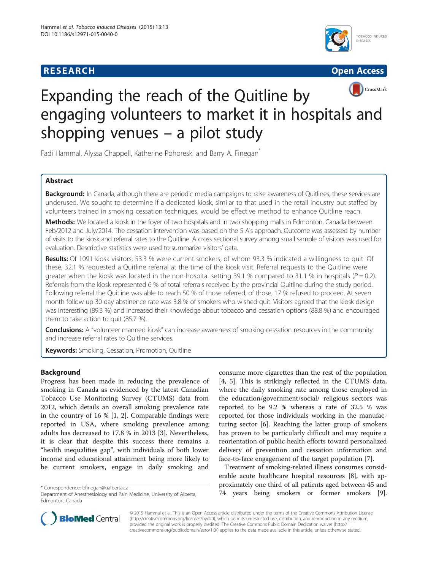# **RESEARCH RESEARCH** *CHECKER CHECKER CHECKER CHECKER CHECKER CHECKER CHECKER CHECKER CHECKER CHECKER CHECKER*





# Expanding the reach of the Quitline by engaging volunteers to market it in hospitals and shopping venues – a pilot study

Fadi Hammal, Alyssa Chappell, Katherine Pohoreski and Barry A. Finegan<sup>®</sup>

# Abstract

Background: In Canada, although there are periodic media campaigns to raise awareness of Quitlines, these services are underused. We sought to determine if a dedicated kiosk, similar to that used in the retail industry but staffed by volunteers trained in smoking cessation techniques, would be effective method to enhance Quitline reach.

Methods: We located a kiosk in the foyer of two hospitals and in two shopping malls in Edmonton, Canada between Feb/2012 and July/2014. The cessation intervention was based on the 5 A's approach. Outcome was assessed by number of visits to the kiosk and referral rates to the Quitline. A cross sectional survey among small sample of visitors was used for evaluation. Descriptive statistics were used to summarize visitors' data.

Results: Of 1091 kiosk visitors, 53.3 % were current smokers, of whom 93.3 % indicated a willingness to quit. Of these, 32.1 % requested a Quitline referral at the time of the kiosk visit. Referral requests to the Quitline were greater when the kiosk was located in the non-hospital setting 39.1 % compared to 31.1 % in hospitals ( $P = 0.2$ ). Referrals from the kiosk represented 6 % of total referrals received by the provincial Quitline during the study period. Following referral the Quitline was able to reach 50 % of those referred, of those, 17 % refused to proceed. At seven month follow up 30 day abstinence rate was 3.8 % of smokers who wished quit. Visitors agreed that the kiosk design was interesting (89.3 %) and increased their knowledge about tobacco and cessation options (88.8 %) and encouraged them to take action to quit (85.7 %).

Conclusions: A "volunteer manned kiosk" can increase awareness of smoking cessation resources in the community and increase referral rates to Quitline services.

**Keywords:** Smoking, Cessation, Promotion, Quitline

## Background

Progress has been made in reducing the prevalence of smoking in Canada as evidenced by the latest Canadian Tobacco Use Monitoring Survey (CTUMS) data from 2012, which details an overall smoking prevalence rate in the country of 16 % [[1, 2](#page-5-0)]. Comparable findings were reported in USA, where smoking prevalence among adults has decreased to 17.8 % in 2013 [[3\]](#page-5-0). Nevertheless, it is clear that despite this success there remains a "health inequalities gap", with individuals of both lower income and educational attainment being more likely to be current smokers, engage in daily smoking and

consume more cigarettes than the rest of the population [[4, 5](#page-5-0)]. This is strikingly reflected in the CTUMS data, where the daily smoking rate among those employed in the education/government/social/ religious sectors was reported to be 9.2 % whereas a rate of 32.5 % was reported for those individuals working in the manufacturing sector [[6\]](#page-5-0). Reaching the latter group of smokers has proven to be particularly difficult and may require a reorientation of public health efforts toward personalized delivery of prevention and cessation information and face-to-face engagement of the target population [[7\]](#page-5-0).

Treatment of smoking-related illness consumes considerable acute healthcare hospital resources [\[8\]](#page-5-0), with approximately one third of all patients aged between 45 and x Correspondence: [bfinegan@ualberta.ca](mailto:bfinegan@ualberta.ca)<br>Department of Anesthesiology and Pain Medicine, University of Alberta, The **years being smokers or former smokers** 



© 2015 Hammal et al. This is an Open Access article distributed under the terms of the Creative Commons Attribution License [\(http://creativecommons.org/licenses/by/4.0\)](http://creativecommons.org/licenses/by/4.0), which permits unrestricted use, distribution, and reproduction in any medium, provided the original work is properly credited. The Creative Commons Public Domain Dedication waiver [\(http://](http://creativecommons.org/publicdomain/zero/1.0/) [creativecommons.org/publicdomain/zero/1.0/\)](http://creativecommons.org/publicdomain/zero/1.0/) applies to the data made available in this article, unless otherwise stated.

Department of Anesthesiology and Pain Medicine, University of Alberta, Edmonton, Canada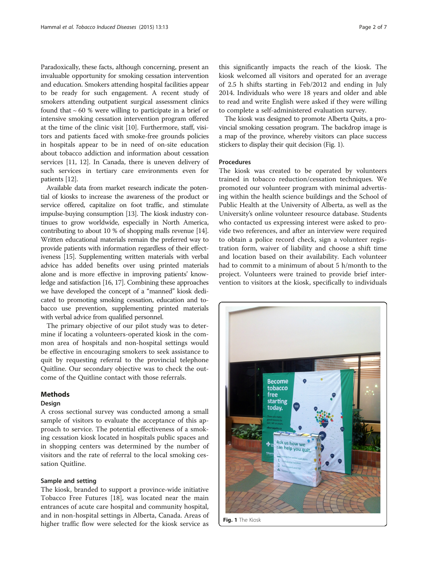Paradoxically, these facts, although concerning, present an invaluable opportunity for smoking cessation intervention and education. Smokers attending hospital facilities appear to be ready for such engagement. A recent study of smokers attending outpatient surgical assessment clinics found that  $\sim 60$  % were willing to participate in a brief or intensive smoking cessation intervention program offered at the time of the clinic visit [\[10\]](#page-5-0). Furthermore, staff, visitors and patients faced with smoke-free grounds policies in hospitals appear to be in need of on-site education about tobacco addiction and information about cessation services [\[11, 12\]](#page-5-0). In Canada, there is uneven delivery of such services in tertiary care environments even for patients [[12](#page-5-0)].

Available data from market research indicate the potential of kiosks to increase the awareness of the product or service offered, capitalize on foot traffic, and stimulate impulse-buying consumption [\[13](#page-6-0)]. The kiosk industry continues to grow worldwide, especially in North America, contributing to about 10 % of shopping malls revenue [\[14](#page-6-0)]. Written educational materials remain the preferred way to provide patients with information regardless of their effectiveness [[15\]](#page-6-0). Supplementing written materials with verbal advice has added benefits over using printed materials alone and is more effective in improving patients' knowledge and satisfaction [[16](#page-6-0), [17](#page-6-0)]. Combining these approaches we have developed the concept of a "manned" kiosk dedicated to promoting smoking cessation, education and tobacco use prevention, supplementing printed materials with verbal advice from qualified personnel.

The primary objective of our pilot study was to determine if locating a volunteers-operated kiosk in the common area of hospitals and non-hospital settings would be effective in encouraging smokers to seek assistance to quit by requesting referral to the provincial telephone Quitline. Our secondary objective was to check the outcome of the Quitline contact with those referrals.

#### Methods

#### Design

A cross sectional survey was conducted among a small sample of visitors to evaluate the acceptance of this approach to service. The potential effectiveness of a smoking cessation kiosk located in hospitals public spaces and in shopping centers was determined by the number of visitors and the rate of referral to the local smoking cessation Quitline.

### Sample and setting

The kiosk, branded to support a province-wide initiative Tobacco Free Futures [[18\]](#page-6-0), was located near the main entrances of acute care hospital and community hospital, and in non-hospital settings in Alberta, Canada. Areas of higher traffic flow were selected for the kiosk service as

this significantly impacts the reach of the kiosk. The kiosk welcomed all visitors and operated for an average of 2.5 h shifts starting in Feb/2012 and ending in July 2014. Individuals who were 18 years and older and able to read and write English were asked if they were willing to complete a self-administered evaluation survey.

The kiosk was designed to promote Alberta Quits, a provincial smoking cessation program. The backdrop image is a map of the province, whereby visitors can place success stickers to display their quit decision (Fig. 1).

#### Procedures

The kiosk was created to be operated by volunteers trained in tobacco reduction/cessation techniques. We promoted our volunteer program with minimal advertising within the health science buildings and the School of Public Health at the University of Alberta, as well as the University's online volunteer resource database. Students who contacted us expressing interest were asked to provide two references, and after an interview were required to obtain a police record check, sign a volunteer registration form, waiver of liability and choose a shift time and location based on their availability. Each volunteer had to commit to a minimum of about 5 h/month to the project. Volunteers were trained to provide brief intervention to visitors at the kiosk, specifically to individuals



Fig. 1 The Kiosk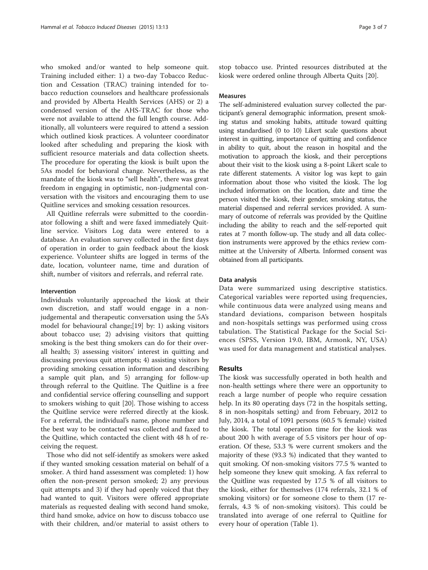who smoked and/or wanted to help someone quit. Training included either: 1) a two-day Tobacco Reduction and Cessation (TRAC) training intended for tobacco reduction counselors and healthcare professionals and provided by Alberta Health Services (AHS) or 2) a condensed version of the AHS-TRAC for those who were not available to attend the full length course. Additionally, all volunteers were required to attend a session which outlined kiosk practices. A volunteer coordinator looked after scheduling and preparing the kiosk with sufficient resource materials and data collection sheets. The procedure for operating the kiosk is built upon the 5As model for behavioral change. Nevertheless, as the mandate of the kiosk was to "sell health", there was great freedom in engaging in optimistic, non-judgmental conversation with the visitors and encouraging them to use Quitline services and smoking cessation resources.

All Quitline referrals were submitted to the coordinator following a shift and were faxed immediately Quitline service. Visitors Log data were entered to a database. An evaluation survey collected in the first days of operation in order to gain feedback about the kiosk experience. Volunteer shifts are logged in terms of the date, location, volunteer name, time and duration of shift, number of visitors and referrals, and referral rate.

#### Intervention

Individuals voluntarily approached the kiosk at their own discretion, and staff would engage in a nonjudgemental and therapeutic conversation using the 5A's model for behavioural change;[[19\]](#page-6-0) by: 1) asking visitors about tobacco use; 2) advising visitors that quitting smoking is the best thing smokers can do for their overall health; 3) assessing visitors' interest in quitting and discussing previous quit attempts; 4) assisting visitors by providing smoking cessation information and describing a sample quit plan, and 5) arranging for follow-up through referral to the Quitline. The Quitline is a free and confidential service offering counselling and support to smokers wishing to quit [\[20](#page-6-0)]. Those wishing to access the Quitline service were referred directly at the kiosk. For a referral, the individual's name, phone number and the best way to be contacted was collected and faxed to the Quitline, which contacted the client with 48 h of receiving the request.

Those who did not self-identify as smokers were asked if they wanted smoking cessation material on behalf of a smoker. A third hand assessment was completed: 1) how often the non-present person smoked; 2) any previous quit attempts and 3) if they had openly voiced that they had wanted to quit. Visitors were offered appropriate materials as requested dealing with second hand smoke, third hand smoke, advice on how to discuss tobacco use with their children, and/or material to assist others to

stop tobacco use. Printed resources distributed at the kiosk were ordered online through Alberta Quits [[20\]](#page-6-0).

### **Measures**

The self-administered evaluation survey collected the participant's general demographic information, present smoking status and smoking habits, attitude toward quitting using standardised (0 to 10) Likert scale questions about interest in quitting, importance of quitting and confidence in ability to quit, about the reason in hospital and the motivation to approach the kiosk, and their perceptions about their visit to the kiosk using a 8-point Likert scale to rate different statements. A visitor log was kept to gain information about those who visited the kiosk. The log included information on the location, date and time the person visited the kiosk, their gender, smoking status, the material dispensed and referral services provided. A summary of outcome of referrals was provided by the Quitline including the ability to reach and the self-reported quit rates at 7 month follow-up. The study and all data collection instruments were approved by the ethics review committee at the University of Alberta. Informed consent was obtained from all participants.

#### Data analysis

Data were summarized using descriptive statistics. Categorical variables were reported using frequencies, while continuous data were analyzed using means and standard deviations, comparison between hospitals and non-hospitals settings was performed using cross tabulation. The Statistical Package for the Social Sciences (SPSS, Version 19.0, IBM, Armonk, NY, USA) was used for data management and statistical analyses.

#### Results

The kiosk was successfully operated in both health and non-health settings where there were an opportunity to reach a large number of people who require cessation help. In its 80 operating days (72 in the hospitals setting, 8 in non-hospitals setting) and from February, 2012 to July, 2014, a total of 1091 persons (60.5 % female) visited the kiosk. The total operation time for the kiosk was about 200 h with average of 5.5 visitors per hour of operation. Of these, 53.3 % were current smokers and the majority of these (93.3 %) indicated that they wanted to quit smoking. Of non-smoking visitors 77.5 % wanted to help someone they knew quit smoking. A fax referral to the Quitline was requested by 17.5 % of all visitors to the kiosk, either for themselves (174 referrals, 32.1 % of smoking visitors) or for someone close to them (17 referrals, 4.3 % of non-smoking visitors). This could be translated into average of one referral to Quitline for every hour of operation (Table [1\)](#page-3-0).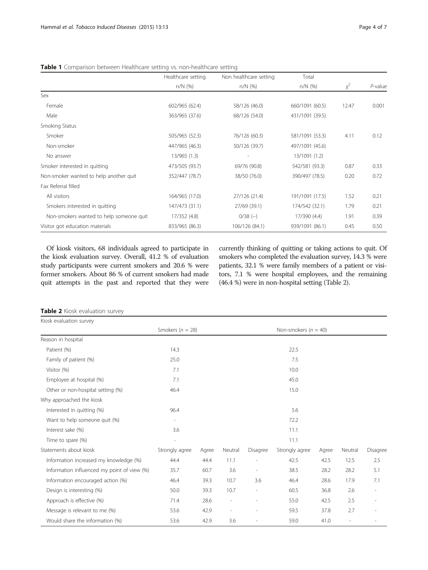<span id="page-3-0"></span>

|  |  |  | <b>Table 1</b> Comparison between Healthcare setting vs. non-healthcare setting |
|--|--|--|---------------------------------------------------------------------------------|
|--|--|--|---------------------------------------------------------------------------------|

|                                         | Healthcare setting | Non healthcare setting | Total           |          |            |
|-----------------------------------------|--------------------|------------------------|-----------------|----------|------------|
|                                         | $n/N$ (%)          | $n/N$ (%)              | $n/N$ (%)       | $\chi^2$ | $P$ -value |
| Sex                                     |                    |                        |                 |          |            |
| Female                                  | 602/965 (62.4)     | 58/126 (46.0)          | 660/1091 (60.5) | 12.47    | 0.001      |
| Male                                    | 363/965 (37.6)     | 68/126 (54.0)          | 431/1091 (39.5) |          |            |
| Smoking Status                          |                    |                        |                 |          |            |
| Smoker                                  | 505/965 (52.3)     | 76/126 (60.3)          | 581/1091 (53.3) | 4.11     | 0.12       |
| Non-smoker                              | 447/965 (46.3)     | 50/126 (39.7)          | 497/1091 (45.6) |          |            |
| No answer                               | 13/965 (1.3)       |                        | 13/1091 (1.2)   |          |            |
| Smoker interested in quitting           | 473/505 (93.7)     | 69/76 (90.8)           | 542/581 (93.3)  | 0.87     | 0.33       |
| Non-smoker wanted to help another quit  | 352/447 (78.7)     | 38/50 (76.0)           | 390/497 (78.5)  | 0.20     | 0.72       |
| Fax Referral filled                     |                    |                        |                 |          |            |
| All visitors                            | 164/965 (17.0)     | 27/126 (21.4)          | 191/1091 (17.5) | 1.52     | 0.21       |
| Smokers interested in quitting          | 147/473 (31.1)     | 27/69 (39.1)           | 174/542 (32.1)  | 1.79     | 0.21       |
| Non-smokers wanted to help someone quit | 17/352 (4.8)       | $0/38$ (-)             | 17/390 (4.4)    | 1.91     | 0.39       |
| Visitor got education materials         | 833/965 (86.3)     | 106/126 (84.1)         | 939/1091 (86.1) | 0.45     | 0.50       |

Of kiosk visitors, 68 individuals agreed to participate in the kiosk evaluation survey. Overall, 41.2 % of evaluation study participants were current smokers and 20.6 % were former smokers. About 86 % of current smokers had made quit attempts in the past and reported that they were

currently thinking of quitting or taking actions to quit. Of smokers who completed the evaluation survey, 14.3 % were patients, 32.1 % were family members of a patient or visitors, 7.1 % were hospital employees, and the remaining (46.4 %) were in non-hospital setting (Table 2).

|  |  | Table 2 Kiosk evaluation survey |  |
|--|--|---------------------------------|--|
|--|--|---------------------------------|--|

| Kiosk evaluation survey                     |                          |       |         |                          |                          |       |                          |          |
|---------------------------------------------|--------------------------|-------|---------|--------------------------|--------------------------|-------|--------------------------|----------|
|                                             | Smokers ( $n = 28$ )     |       |         |                          | Non-smokers ( $n = 40$ ) |       |                          |          |
| Reason in hospital                          |                          |       |         |                          |                          |       |                          |          |
| Patient (%)                                 | 14.3                     |       |         |                          | 22.5                     |       |                          |          |
| Family of patient (%)                       | 25.0                     |       |         |                          | 7.5                      |       |                          |          |
| Visitor (%)                                 | 7.1                      |       |         |                          | 10.0                     |       |                          |          |
| Employee at hospital (%)                    | 7.1                      |       |         |                          | 45.0                     |       |                          |          |
| Other or non-hospital setting (%)           | 46.4                     |       |         |                          | 15.0                     |       |                          |          |
| Why approached the kiosk                    |                          |       |         |                          |                          |       |                          |          |
| Interested in quitting (%)                  | 96.4                     |       |         |                          | 5.6                      |       |                          |          |
| Want to help someone quit (%)               | $\overline{\phantom{a}}$ |       |         |                          | 72.2                     |       |                          |          |
| Interest sake (%)                           | 3.6                      |       |         |                          | 11.1                     |       |                          |          |
| Time to spare (%)                           | $\overline{\phantom{a}}$ |       |         |                          | 11.1                     |       |                          |          |
| Statements about kiosk                      | Strongly agree           | Agree | Neutral | Disagree                 | Strongly agree           | Agree | Neutral                  | Disagree |
| Information increased my knowledge (%)      | 44.4                     | 44.4  | 11.1    | $\overline{\phantom{a}}$ | 42.5                     | 42.5  | 12.5                     | 2.5      |
| Information influenced my point of view (%) | 35.7                     | 60.7  | 3.6     | $\overline{\phantom{a}}$ | 38.5                     | 28.2  | 28.2                     | 5.1      |
| Information encouraged action (%)           | 46.4                     | 39.3  | 10.7    | 3.6                      | 46.4                     | 28.6  | 17.9                     | 7.1      |
| Design is interesting (%)                   | 50.0                     | 39.3  | 10.7    |                          | 60.5                     | 36.8  | 2.6                      |          |
| Approach is effective (%)                   | 71.4                     | 28.6  | ÷,      |                          | 55.0                     | 42.5  | 2.5                      | ÷        |
| Message is relevant to me (%)               | 53.6                     | 42.9  |         |                          | 59.5                     | 37.8  | 2.7                      |          |
| Would share the information (%)             | 53.6                     | 42.9  | 3.6     | $\overline{\phantom{a}}$ | 59.0                     | 41.0  | $\overline{\phantom{a}}$ |          |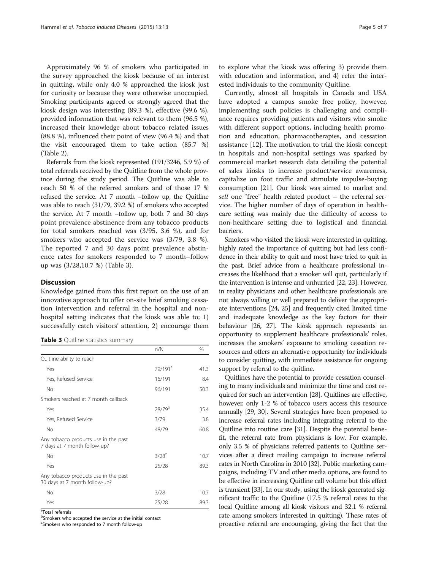Approximately 96 % of smokers who participated in the survey approached the kiosk because of an interest in quitting, while only 4.0 % approached the kiosk just for curiosity or because they were otherwise unoccupied. Smoking participants agreed or strongly agreed that the kiosk design was interesting (89.3 %), effective (99.6 %), provided information that was relevant to them (96.5 %), increased their knowledge about tobacco related issues (88.8 %), influenced their point of view (96.4 %) and that the visit encouraged them to take action (85.7 %) (Table [2\)](#page-3-0).

Referrals from the kiosk represented (191/3246, 5.9 %) of total referrals received by the Quitline from the whole province during the study period. The Quitline was able to reach 50 % of the referred smokers and of those 17 % refused the service. At 7 month –follow up, the Quitline was able to reach (31/79, 39.2 %) of smokers who accepted the service. At 7 month –follow up, both 7 and 30 days point prevalence abstinence from any tobacco products for total smokers reached was (3/95, 3.6 %), and for smokers who accepted the service was (3/79, 3.8 %). The reported 7 and 30 days point prevalence abstinence rates for smokers responded to 7 month–follow up was (3/28,10.7 %) (Table 3).

#### **Discussion**

Knowledge gained from this first report on the use of an innovative approach to offer on-site brief smoking cessation intervention and referral in the hospital and nonhospital setting indicates that the kiosk was able to; 1) successfully catch visitors' attention, 2) encourage them

| Table 3 Quitline statistics summary |  |
|-------------------------------------|--|
|                                     |  |

|                                                                       | n/N                 | %    |
|-----------------------------------------------------------------------|---------------------|------|
| Quitline ability to reach                                             |                     |      |
| Yes                                                                   | 79/191 <sup>a</sup> | 41.3 |
| Yes, Refused Service                                                  | 16/191              | 8.4  |
| <b>No</b>                                                             | 96/191              | 50.3 |
| Smokers reached at 7 month callback                                   |                     |      |
| Yes                                                                   | 28/79 <sup>b</sup>  | 35.4 |
| Yes, Refused Service                                                  | 3/79                | 3.8  |
| <b>No</b>                                                             | 48/79               | 60.8 |
| Any tobacco products use in the past<br>7 days at 7 month follow-up?  |                     |      |
| <b>No</b>                                                             | $3/28$ <sup>c</sup> | 10.7 |
| Yes                                                                   | 25/28               | 89.3 |
| Any tobacco products use in the past<br>30 days at 7 month follow-up? |                     |      |
| <b>No</b>                                                             | 3/28                | 10.7 |
| Yes                                                                   | 25/28               | 89.3 |

<sup>a</sup>Total referrals

<sup>b</sup>Smokers who accepted the service at the initial contact

<sup>c</sup>Smokers who responded to 7 month follow-up

to explore what the kiosk was offering 3) provide them with education and information, and 4) refer the interested individuals to the community Quitline.

Currently, almost all hospitals in Canada and USA have adopted a campus smoke free policy, however, implementing such policies is challenging and compliance requires providing patients and visitors who smoke with different support options, including health promotion and education, pharmacotherapies, and cessation assistance [\[12\]](#page-5-0). The motivation to trial the kiosk concept in hospitals and non-hospital settings was sparked by commercial market research data detailing the potential of sales kiosks to increase product/service awareness, capitalize on foot traffic and stimulate impulse-buying consumption [[21](#page-6-0)]. Our kiosk was aimed to market and sell one "free" health related product – the referral service. The higher number of days of operation in healthcare setting was mainly due the difficulty of access to non-healthcare setting due to logistical and financial barriers.

Smokers who visited the kiosk were interested in quitting, highly rated the importance of quitting but had less confidence in their ability to quit and most have tried to quit in the past. Brief advice from a healthcare professional increases the likelihood that a smoker will quit, particularly if the intervention is intense and unhurried [[22](#page-6-0), [23](#page-6-0)]. However, in reality physicians and other healthcare professionals are not always willing or well prepared to deliver the appropriate interventions [\[24, 25](#page-6-0)] and frequently cited limited time and inadequate knowledge as the key factors for their behaviour [[26](#page-6-0), [27\]](#page-6-0). The kiosk approach represents an opportunity to supplement healthcare professionals' roles, increases the smokers' exposure to smoking cessation resources and offers an alternative opportunity for individuals to consider quitting, with immediate assistance for ongoing support by referral to the quitline.

Quitlines have the potential to provide cessation counseling to many individuals and minimize the time and cost required for such an intervention [[28](#page-6-0)]. Quitlines are effective, however, only 1-2 % of tobacco users access this resource annually [\[29, 30](#page-6-0)]. Several strategies have been proposed to increase referral rates including integrating referral to the Quitline into routine care [\[31](#page-6-0)]. Despite the potential benefit, the referral rate from physicians is low. For example, only 3.5 % of physicians referred patients to Quitline services after a direct mailing campaign to increase referral rates in North Carolina in 2010 [[32](#page-6-0)]. Public marketing campaigns, including TV and other media options, are found to be effective in increasing Quitline call volume but this effect is transient [\[33\]](#page-6-0). In our study, using the kiosk generated significant traffic to the Quitline (17.5 % referral rates to the local Quitline among all kiosk visitors and 32.1 % referral rate among smokers interested in quitting). These rates of proactive referral are encouraging, giving the fact that the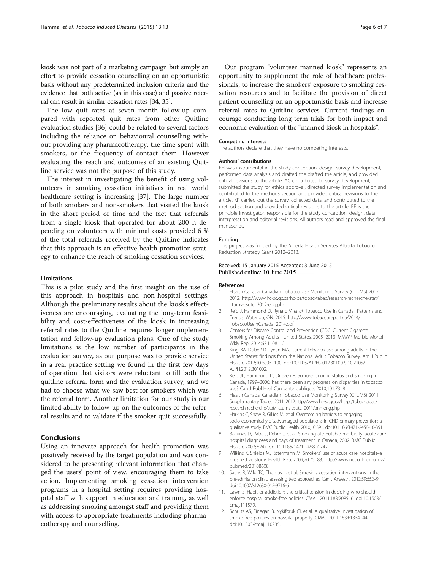<span id="page-5-0"></span>kiosk was not part of a marketing campaign but simply an effort to provide cessation counselling on an opportunistic basis without any predetermined inclusion criteria and the evidence that both active (as in this case) and passive referral can result in similar cessation rates [\[34, 35\]](#page-6-0).

The low quit rates at seven month follow-up compared with reported quit rates from other Quitline evaluation studies [\[36\]](#page-6-0) could be related to several factors including the reliance on behavioural counselling without providing any pharmacotherapy, the time spent with smokers, or the frequency of contact them. However evaluating the reach and outcomes of an existing Quitline service was not the purpose of this study.

The interest in investigating the benefit of using volunteers in smoking cessation initiatives in real world healthcare setting is increasing [\[37](#page-6-0)]. The large number of both smokers and non-smokers that visited the kiosk in the short period of time and the fact that referrals from a single kiosk that operated for about 200 h depending on volunteers with minimal costs provided 6 % of the total referrals received by the Quitline indicates that this approach is an effective health promotion strategy to enhance the reach of smoking cessation services.

#### **Limitations**

This is a pilot study and the first insight on the use of this approach in hospitals and non-hospital settings. Although the preliminary results about the kiosk's effectiveness are encouraging, evaluating the long-term feasibility and cost-effectiveness of the kiosk in increasing referral rates to the Quitline requires longer implementation and follow-up evaluation plans. One of the study limitations is the low number of participants in the evaluation survey, as our purpose was to provide service in a real practice setting we found in the first few days of operation that visitors were reluctant to fill both the quitline referral form and the evaluation survey, and we had to choose what we saw best for smokers which was the referral form. Another limitation for our study is our limited ability to follow-up on the outcomes of the referral results and to validate if the smoker quit successfully.

#### Conclusions

Using an innovate approach for health promotion was positively received by the target population and was considered to be presenting relevant information that changed the users' point of view, encouraging them to take action. Implementing smoking cessation intervention programs in a hospital setting requires providing hospital staff with support in education and training, as well as addressing smoking amongst staff and providing them with access to appropriate treatments including pharmacotherapy and counselling.

Our program "volunteer manned kiosk" represents an opportunity to supplement the role of healthcare professionals, to increase the smokers' exposure to smoking cessation resources and to facilitate the provision of direct patient counselling on an opportunistic basis and increase referral rates to Quitline services. Current findings encourage conducting long term trials for both impact and economic evaluation of the "manned kiosk in hospitals".

#### Competing interests

The authors declare that they have no competing interests.

#### Authors' contributions

FH was instrumental in the study conception, design, survey development, performed data analysis and drafted the drafted the article, and provided critical revisions to the article. AC contributed to survey development, submitted the study for ethics approval, directed survey implementation and contributed to the methods section and provided critical revisions to the article. KP carried out the survey, collected data, and contributed to the method section and provided critical revisions to the article. BF is the principle investigator, responsible for the study conception, design, data interpretation and editorial revisions. All authors read and approved the final manuscript.

#### Funding

This project was funded by the Alberta Health Services Alberta Tobacco Reduction Strategy Grant 2012–2013.

#### Received: 15 January 2015 Accepted: 3 June 2015 Published online: 10 June 2015

#### References

- 1. Health Canada. Canadian Tobacco Use Monitoring Survey (CTUMS) 2012. 2012. [http://www.hc-sc.gc.ca/hc-ps/tobac-tabac/research-recherche/stat/](http://www.hc-sc.gc.ca/hc-ps/tobac-tabac/research-recherche/stat/ctums-esutc_2012-eng.php) [ctums-esutc\\_2012-eng.php](http://www.hc-sc.gc.ca/hc-ps/tobac-tabac/research-recherche/stat/ctums-esutc_2012-eng.php)
- 2. Reid J, Hammond D, Rynard V, et al. Tobacco Use in Canada : Patterns and Trends. Waterloo, ON: 2015. [http://www.tobaccoreport.ca/2014/](http://www.tobaccoreport.ca/2014/TobaccoUseinCanada_2014.pdf) [TobaccoUseinCanada\\_2014.pdf](http://www.tobaccoreport.ca/2014/TobaccoUseinCanada_2014.pdf)
- 3. Centers for Disease Control and Prevention (CDC. Current Cigarette Smoking Among Adults - United States, 2005–2013. MMWR Morbid Mortal Wkly Rep. 2014;63:1108–12.
- 4. King BA, Dube SR, Tynan MA. Current tobacco use among adults in the United States: findings from the National Adult Tobacco Survey. Am J Public Health. 2012;102:e93–100. doi[:10.2105/AJPH.2012.301002; 10.2105/](http://dx.doi.org/10.2105/AJPH.2012.301002;%2010.2105/AJPH.2012.301002) [AJPH.2012.301002.](http://dx.doi.org/10.2105/AJPH.2012.301002;%2010.2105/AJPH.2012.301002)
- Reid JL, Hammond D, Driezen P. Socio-economic status and smoking in Canada, 1999–2006: has there been any progress on disparities in tobacco use? Can J Publ Heal Can sante publique. 2010;101:73–8.
- 6. Health Canada. Canadian Tobacco Use Monitoring Survey (CTUMS) 2011 Supplementary Tables. 2011; 2012.[http://www.hc-sc.gc.ca/hc-ps/tobac-tabac/](http://www.hc-sc.gc.ca/hc-ps/tobac-tabac/research-recherche/stat/_ctums-esutc_2011/ann-eng.php) [research-recherche/stat/\\_ctums-esutc\\_2011/ann-eng.php](http://www.hc-sc.gc.ca/hc-ps/tobac-tabac/research-recherche/stat/_ctums-esutc_2011/ann-eng.php)
- 7. Harkins C, Shaw R, Gillies M, et al. Overcoming barriers to engaging socio-economically disadvantaged populations in CHD primary prevention: a qualitative study. BMC Public Health. 2010;10:391. doi[:10.1186/1471-2458-10-391.](http://dx.doi.org/10.1186/1471-2458-10-391)
- 8. Baliunas D, Patra J, Rehm J, et al. Smoking-attributable morbidity: acute care hospital diagnoses and days of treatment in Canada, 2002. BMC Public Health. 2007;7:247. doi:[10.1186/1471-2458-7-247](http://dx.doi.org/10.1186/1471-2458-7-247).
- 9. Wilkins K, Shields M, Rotermann M. Smokers' use of acute care hospitals–a prospective study. Health Rep. 2009;20:75–83. [http://www.ncbi.nlm.nih.gov/](http://www.ncbi.nlm.nih.gov/pubmed/20108608) [pubmed/20108608.](http://www.ncbi.nlm.nih.gov/pubmed/20108608)
- 10. Sachs R, Wild TC, Thomas L, et al. Smoking cessation interventions in the pre-admission clinic: assessing two approaches. Can J Anaesth. 2012;59:662–9. doi[:10.1007/s12630-012-9716-6.](http://dx.doi.org/10.1007/s12630-012-9716-6)
- 11. Lawn S. Habit or addiction: the critical tension in deciding who should enforce hospital smoke-free policies. CMAJ. 2011;183:2085–6. doi:[10.1503/](http://dx.doi.org/10.1503/cmaj.111579) [cmaj.111579.](http://dx.doi.org/10.1503/cmaj.111579)
- 12. Schultz AS, Finegan B, Nykiforuk CI, et al. A qualitative investigation of smoke-free policies on hospital property. CMAJ. 2011;183:E1334–44. doi[:10.1503/cmaj.110235](http://dx.doi.org/10.1503/cmaj.110235).